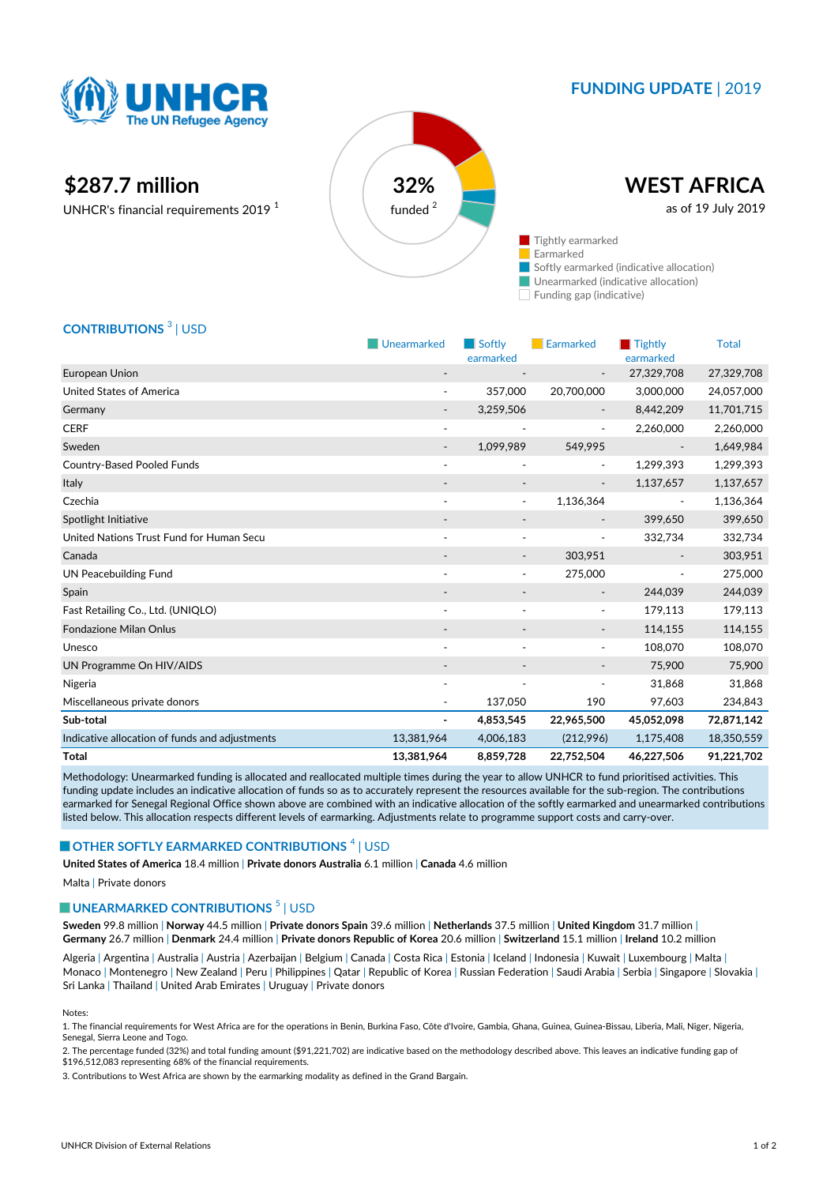

# **FUNDING UPDATE** | 2019

# **\$287.7 million 32%**

UNHCR's financial requirements 2019 <sup>1</sup>



## **CONTRIBUTIONS** <sup>3</sup> | USD

|                                                | Unearmarked              | Softly                   | <b>Earmarked</b>         | Tightly                  | <b>Total</b> |
|------------------------------------------------|--------------------------|--------------------------|--------------------------|--------------------------|--------------|
|                                                |                          | earmarked                |                          | earmarked                |              |
| European Union                                 |                          |                          |                          | 27,329,708               | 27,329,708   |
| <b>United States of America</b>                |                          | 357,000                  | 20,700,000               | 3,000,000                | 24,057,000   |
| Germany                                        | $\overline{\phantom{a}}$ | 3,259,506                | $\overline{\phantom{a}}$ | 8,442,209                | 11,701,715   |
| <b>CERF</b>                                    | $\overline{\phantom{a}}$ | $\overline{\phantom{a}}$ | $\overline{\phantom{a}}$ | 2,260,000                | 2,260,000    |
| Sweden                                         |                          | 1,099,989                | 549,995                  |                          | 1,649,984    |
| <b>Country-Based Pooled Funds</b>              | ٠                        | ÷                        | $\overline{\phantom{a}}$ | 1,299,393                | 1,299,393    |
| Italy                                          |                          |                          |                          | 1,137,657                | 1,137,657    |
| Czechia                                        | $\overline{\phantom{a}}$ | $\overline{\phantom{a}}$ | 1,136,364                | $\overline{\phantom{a}}$ | 1,136,364    |
| Spotlight Initiative                           |                          |                          |                          | 399,650                  | 399,650      |
| United Nations Trust Fund for Human Secu       | $\overline{\phantom{a}}$ | $\overline{\phantom{a}}$ | $\overline{\phantom{a}}$ | 332,734                  | 332,734      |
| Canada                                         |                          |                          | 303,951                  |                          | 303,951      |
| <b>UN Peacebuilding Fund</b>                   |                          | $\overline{\phantom{a}}$ | 275,000                  |                          | 275,000      |
| Spain                                          |                          | $\overline{\phantom{a}}$ | $\overline{\phantom{a}}$ | 244,039                  | 244,039      |
| Fast Retailing Co., Ltd. (UNIQLO)              | $\overline{\phantom{a}}$ | ٠                        | $\overline{\phantom{a}}$ | 179,113                  | 179,113      |
| <b>Fondazione Milan Onlus</b>                  |                          |                          | $\overline{\phantom{a}}$ | 114,155                  | 114,155      |
| Unesco                                         | $\overline{\phantom{a}}$ | ٠                        | $\sim$                   | 108,070                  | 108,070      |
| UN Programme On HIV/AIDS                       |                          |                          |                          | 75,900                   | 75,900       |
| Nigeria                                        |                          | $\overline{\phantom{a}}$ | $\overline{\phantom{a}}$ | 31,868                   | 31,868       |
| Miscellaneous private donors                   |                          | 137,050                  | 190                      | 97,603                   | 234,843      |
| Sub-total                                      | $\blacksquare$           | 4,853,545                | 22,965,500               | 45,052,098               | 72,871,142   |
| Indicative allocation of funds and adjustments | 13,381,964               | 4,006,183                | (212,996)                | 1,175,408                | 18,350,559   |
| <b>Total</b>                                   | 13,381,964               | 8,859,728                | 22,752,504               | 46,227,506               | 91,221,702   |

Methodology: Unearmarked funding is allocated and reallocated multiple times during the year to allow UNHCR to fund prioritised activities. This funding update includes an indicative allocation of funds so as to accurately represent the resources available for the sub-region. The contributions earmarked for Senegal Regional Office shown above are combined with an indicative allocation of the softly earmarked and unearmarked contributions listed below. This allocation respects different levels of earmarking. Adjustments relate to programme support costs and carry-over.

### **OTHER SOFTLY EARMARKED CONTRIBUTIONS** 4 | USD

**United States of America** 18.4 million | **Private donors Australia** 6.1 million | **Canada** 4.6 million

Malta | Private donors

#### **UNEARMARKED CONTRIBUTIONS**<sup>5</sup> | USD

**Sweden** 99.8 million | **Norway** 44.5 million | **Private donors Spain** 39.6 million | **Netherlands** 37.5 million | **United Kingdom** 31.7 million | **Germany** 26.7 million | **Denmark** 24.4 million | **Private donors Republic of Korea** 20.6 million | **Switzerland** 15.1 million | **Ireland** 10.2 million

Algeria | Argentina | Australia | Austria | Azerbaijan | Belgium | Canada | Costa Rica | Estonia | Iceland | Indonesia | Kuwait | Luxembourg | Malta | Monaco | Montenegro | New Zealand | Peru | Philippines | Qatar | Republic of Korea | Russian Federation | Saudi Arabia | Serbia | Singapore | Slovakia | Sri Lanka | Thailand | United Arab Emirates | Uruguay | Private donors

Notes:

1. The financial requirements for West Africa are for the operations in Benin, Burkina Faso, Côte d'Ivoire, Gambia, Ghana, Guinea, Guinea-Bissau, Liberia, Mali, Niger, Nigeria, Senegal, Sierra Leone and Togo.

2. The percentage funded (32%) and total funding amount (\$91,221,702) are indicative based on the methodology described above. This leaves an indicative funding gap of \$196,512,083 representing 68% of the financial requirements.

3. Contributions to West Africa are shown by the earmarking modality as defined in the Grand Bargain.